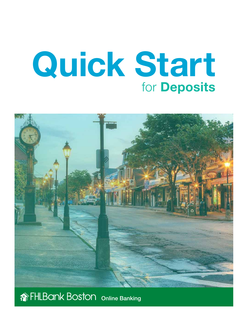# Quick Start for Deposits



# **THLBank Boston online Banking**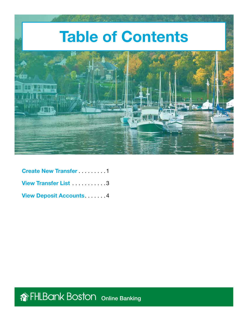

| <b>Create New Transfer</b> 1.1.1.1 |
|------------------------------------|
| View Transfer List 3               |
| <b>View Deposit Accounts4</b>      |

**The FHLBank Boston** Online Banking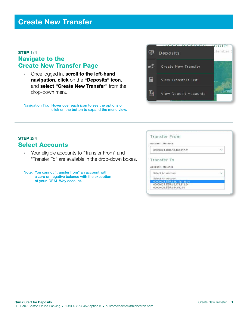# <span id="page-2-0"></span>STEP 1/4 Navigate to the Create New Transfer Page

• Once logged in, scroll to the left-hand navigation, click on the "Deposits" icon, and select "Create New Transfer" from the drop-down menu.

Navigation Tip: Hover over each icon to see the options or click on the button to expand the menu view.



# **STEP 2/4** Select Accounts

- • Your eligible accounts to "Transfer From" and "Transfer To" are available in the drop-down boxes.
- Note: You cannot "transfer from" an account with a zero or negative balance with the exception of your IDEAL Way account.

| Transfer From                    |  |
|----------------------------------|--|
| Account   Balance                |  |
| 00000123, DDA \$3,108,957.71     |  |
|                                  |  |
|                                  |  |
| Transfer To<br>Account   Balance |  |
| Select An Account                |  |
| Select An Account                |  |
| 00000124, DDA \$38,198,189.01    |  |
| 00000125, DDA \$2,473,812.04     |  |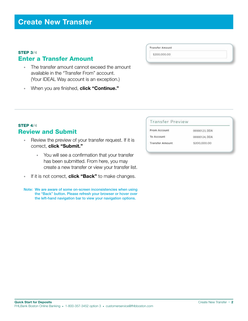## STEP 3/4 Enter a Transfer Amount

- The transfer amount cannot exceed the amount available in the "Transfer From" account. (Your IDEAL Way account is an exception.)
- When you are finished, click "Continue."

## **STEP 4/4** Review and Submit

- Review the preview of your transfer request. If it is correct, click "Submit."
	- You will see a confirmation that your transfer has been submitted. From here, you may create a new transfer or view your transfer list.
- If it is not correct, **click "Back"** to make changes.
- Note: We are aware of some on-screen inconsistencies when using the "Back" button. Please refresh your browser or hover over the left-hand navigation bar to view your navigation options.

#### **Transfer Preview**

From Account

**Transfer Amount** \$200,000.00

To Account **Transfer Amount**  00000123, DDA

- 00000124, DDA
- \$200,000.00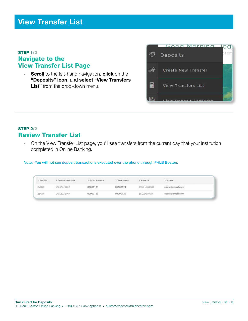# <span id="page-4-0"></span>STEP 1/2 Navigate to the View Transfer List Page

• Scroll to the left-hand navigation, click on the "Deposits" icon, and select "View Transfers List" from the drop-down menu.



# STEP 2/2 Review Transfer List

• On the View Transfer List page, you'll see transfers from the current day that your institution completed in Online Banking.

Note: You will not see deposit transactions executed over the phone through FHLB Boston.

| 1.5eg No. | Tramaction Date                         | 1 From Account<br>in it is not a substitute of the pro- | To Account    | and the European State<br>Amount                                                      | Source<br><b>STATISTICS</b>                         |  |
|-----------|-----------------------------------------|---------------------------------------------------------|---------------|---------------------------------------------------------------------------------------|-----------------------------------------------------|--|
| 27001     | 09/20/2017                              | THE REPORT OF A STATE RING.<br>00000123                 | 00000124      | \$150,000.00<br>--------                                                              | name@email.com                                      |  |
| 28001     | 09/20/2017<br><b>RUNATION STATE CAR</b> | 00000123<br>the state of the anti-                      | 10000125<br>. | ALIM June 4, Indiana Northern<br>\$50,050.00<br>where the contract of the contract of | name@email.com<br>THE REPORT FOUNDATION OF THE REAL |  |